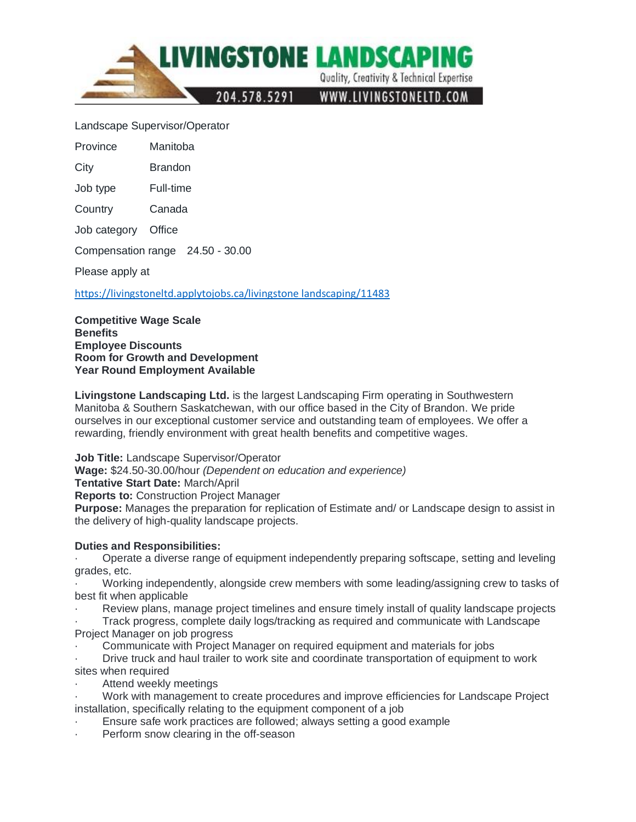

## Landscape Supervisor/Operator

Province Manitoba

City Brandon

Job type Full-time

Country Canada

Job category Office

Compensation range 24.50 - 30.00

Please apply at

[https://livingstoneltd.applytojobs.ca/livingstone landscaping/11483](https://livingstoneltd.applytojobs.ca/livingstone%20landscaping/11483)

**Competitive Wage Scale Benefits Employee Discounts Room for Growth and Development Year Round Employment Available**

**Livingstone Landscaping Ltd.** is the largest Landscaping Firm operating in Southwestern Manitoba & Southern Saskatchewan, with our office based in the City of Brandon. We pride ourselves in our exceptional customer service and outstanding team of employees. We offer a rewarding, friendly environment with great health benefits and competitive wages.

**Job Title:** Landscape Supervisor/Operator

**Wage:** \$24.50-30.00/hour *(Dependent on education and experience)*

**Tentative Start Date:** March/April

**Reports to:** Construction Project Manager

**Purpose:** Manages the preparation for replication of Estimate and/ or Landscape design to assist in the delivery of high-quality landscape projects.

## **Duties and Responsibilities:**

· Operate a diverse range of equipment independently preparing softscape, setting and leveling grades, etc.

· Working independently, alongside crew members with some leading/assigning crew to tasks of best fit when applicable

· Review plans, manage project timelines and ensure timely install of quality landscape projects

· Track progress, complete daily logs/tracking as required and communicate with Landscape Project Manager on job progress

· Communicate with Project Manager on required equipment and materials for jobs

· Drive truck and haul trailer to work site and coordinate transportation of equipment to work sites when required

Attend weekly meetings

· Work with management to create procedures and improve efficiencies for Landscape Project installation, specifically relating to the equipment component of a job

Ensure safe work practices are followed; always setting a good example

Perform snow clearing in the off-season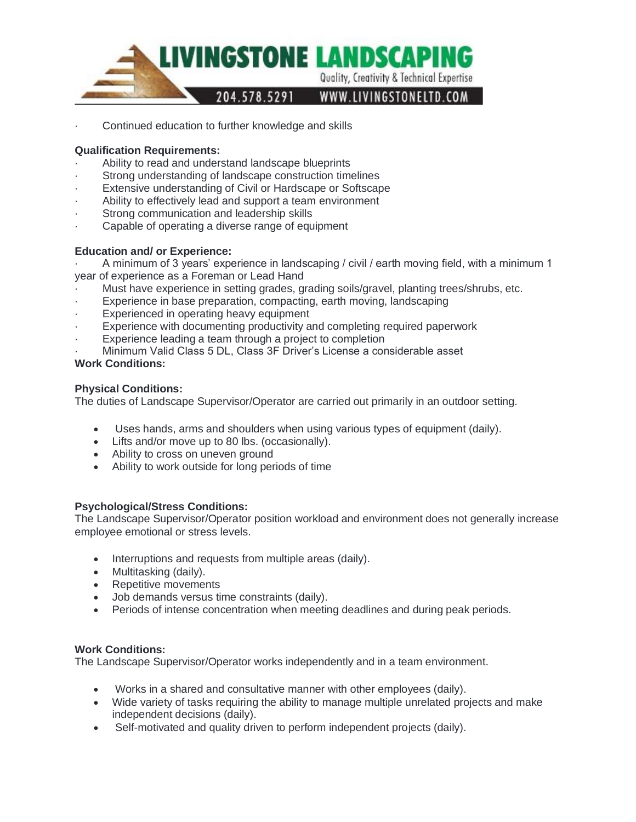

Continued education to further knowledge and skills

# **Qualification Requirements:**

- Ability to read and understand landscape blueprints
- Strong understanding of landscape construction timelines
- Extensive understanding of Civil or Hardscape or Softscape
- Ability to effectively lead and support a team environment
- Strong communication and leadership skills
- Capable of operating a diverse range of equipment

# **Education and/ or Experience:**

· A minimum of 3 years' experience in landscaping / civil / earth moving field, with a minimum 1 year of experience as a Foreman or Lead Hand

- · Must have experience in setting grades, grading soils/gravel, planting trees/shrubs, etc.
- Experience in base preparation, compacting, earth moving, landscaping
- Experienced in operating heavy equipment
- Experience with documenting productivity and completing required paperwork
- Experience leading a team through a project to completion
- Minimum Valid Class 5 DL, Class 3F Driver's License a considerable asset

# **Work Conditions:**

# **Physical Conditions:**

The duties of Landscape Supervisor/Operator are carried out primarily in an outdoor setting.

- Uses hands, arms and shoulders when using various types of equipment (daily).
- Lifts and/or move up to 80 lbs. (occasionally).
- Ability to cross on uneven ground
- Ability to work outside for long periods of time

## **Psychological/Stress Conditions:**

The Landscape Supervisor/Operator position workload and environment does not generally increase employee emotional or stress levels.

- Interruptions and requests from multiple areas (daily).
- Multitasking (daily).
- Repetitive movements
- Job demands versus time constraints (daily).
- Periods of intense concentration when meeting deadlines and during peak periods.

## **Work Conditions:**

The Landscape Supervisor/Operator works independently and in a team environment.

- Works in a shared and consultative manner with other employees (daily).
- Wide variety of tasks requiring the ability to manage multiple unrelated projects and make independent decisions (daily).
- Self-motivated and quality driven to perform independent projects (daily).